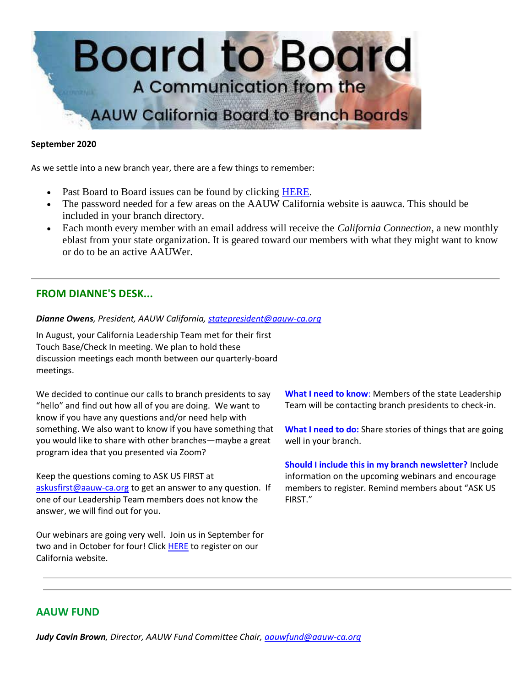

#### **September 2020**

As we settle into a new branch year, there are a few things to remember:

- Past Board to Board issues can be found by clicking [HERE.](https://bor.aauw-ca.org/sendy/l/892iUf2Z3Hxblitd0dEvE47A/3x71GiS9j4ISp5cP892uwzmw/JVJUQrorHZCidbre3J5EVQ)
- The password needed for a few areas on the AAUW California website is aauwca. This should be included in your branch directory.
- Each month every member with an email address will receive the *California Connection*, a new monthly eblast from your state organization. It is geared toward our members with what they might want to know or do to be an active AAUWer.

# **FROM DIANNE'S DESK...**

#### *Dianne Owens, President, AAUW California, [statepresident@aauw-ca.org](mailto:statepresident@aauw-ca.org)*

In August, your California Leadership Team met for their first Touch Base/Check In meeting. We plan to hold these discussion meetings each month between our quarterly-board meetings.

We decided to continue our calls to branch presidents to say "hello" and find out how all of you are doing. We want to know if you have any questions and/or need help with something. We also want to know if you have something that you would like to share with other branches—maybe a great program idea that you presented via Zoom?

Keep the questions coming to ASK US FIRST at [askusfirst@aauw-ca.org](mailto:askusfirst@aauw-ca.org) to get an answer to any question. If one of our Leadership Team members does not know the answer, we will find out for you.

Our webinars are going very well. Join us in September for two and in October for four! Click [HERE](https://bor.aauw-ca.org/sendy/l/892iUf2Z3Hxblitd0dEvE47A/8Gvirx763Zn80vLSDXFY892ptA/JVJUQrorHZCidbre3J5EVQ) to register on our California website.

**What I need to know**: Members of the state Leadership Team will be contacting branch presidents to check-in.

**What I need to do:** Share stories of things that are going well in your branch.

**Should I include this in my branch newsletter?** Include information on the upcoming webinars and encourage members to register. Remind members about "ASK US FIRST."

# **AAUW FUND**

*Judy Cavin Brown, Director, AAUW Fund Committee Chair, [aauwfund@aauw-ca.org](mailto:aauwfund@aauw-ca.org)*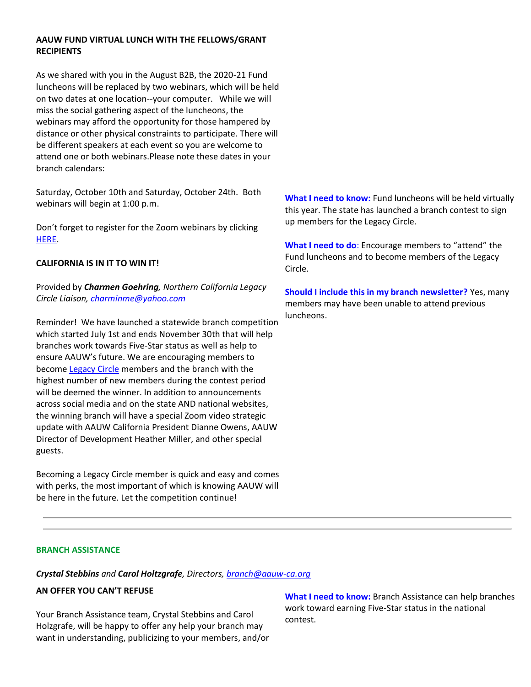## **AAUW FUND VIRTUAL LUNCH WITH THE FELLOWS/GRANT RECIPIENTS**

As we shared with you in the August B2B, the 2020-21 Fund luncheons will be replaced by two webinars, which will be held on two dates at one location--your computer. While we will miss the social gathering aspect of the luncheons, the webinars may afford the opportunity for those hampered by distance or other physical constraints to participate. There will be different speakers at each event so you are welcome to attend one or both webinars.Please note these dates in your branch calendars:

Saturday, October 10th and Saturday, October 24th. Both webinars will begin at 1:00 p.m.

Don't forget to register for the Zoom webinars by clicking [HERE.](https://bor.aauw-ca.org/sendy/l/892iUf2Z3Hxblitd0dEvE47A/8Gvirx763Zn80vLSDXFY892ptA/JVJUQrorHZCidbre3J5EVQ)

## **CALIFORNIA IS IN IT TO WIN IT!**

Provided by *Charmen Goehring, Northern California Legacy Circle Liaison[, charminme@yahoo.com](mailto:charminme@yahoo.com)*

Reminder! We have launched a statewide branch competition which started July 1st and ends November 30th that will help branches work towards Five-Star status as well as help to ensure AAUW's future. We are encouraging members to become [Legacy Circle](https://bor.aauw-ca.org/sendy/l/892iUf2Z3Hxblitd0dEvE47A/ghSR3bHizzhHLcpsEn7O1w/JVJUQrorHZCidbre3J5EVQ) members and the branch with the highest number of new members during the contest period will be deemed the winner. In addition to announcements across social media and on the state AND national websites, the winning branch will have a special Zoom video strategic update with AAUW California President Dianne Owens, AAUW Director of Development Heather Miller, and other special guests.

Becoming a Legacy Circle member is quick and easy and comes with perks, the most important of which is knowing AAUW will be here in the future. Let the competition continue!

**What I need to know:** Fund luncheons will be held virtually this year. The state has launched a branch contest to sign up members for the Legacy Circle.

**What I need to do**: Encourage members to "attend" the Fund luncheons and to become members of the Legacy Circle.

**Should I include this in my branch newsletter?** Yes, many members may have been unable to attend previous luncheons.

#### **BRANCH ASSISTANCE**

*Crystal Stebbins and Carol Holtzgrafe, Directors, [branch@aauw-ca.org](mailto:branch@aauw-ca.org)*

# **AN OFFER YOU CAN'T REFUSE**

Your Branch Assistance team, Crystal Stebbins and Carol Holzgrafe, will be happy to offer any help your branch may want in understanding, publicizing to your members, and/or **What I need to know:** Branch Assistance can help branches work toward earning Five-Star status in the national contest.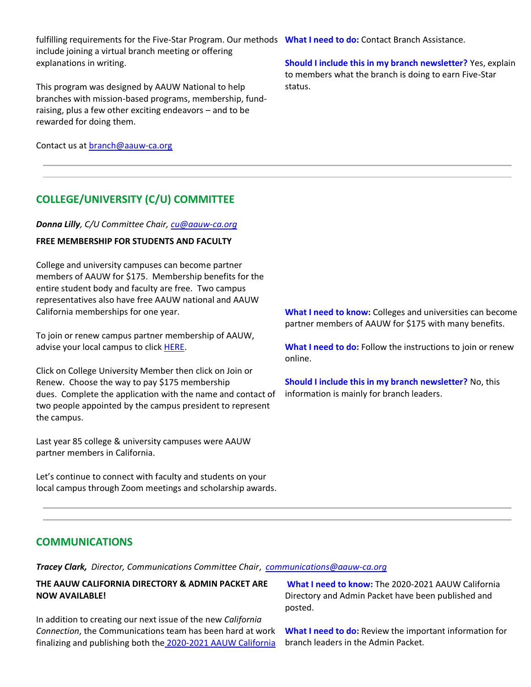fulfilling requirements for the Five-Star Program. Our methods **What I need to do:** Contact Branch Assistance. include joining a virtual branch meeting or offering explanations in writing.

This program was designed by AAUW National to help branches with mission-based programs, membership, fundraising, plus a few other exciting endeavors – and to be rewarded for doing them.

Contact us at **branch@aauw-ca.org** 

# **COLLEGE/UNIVERSITY (C/U) COMMITTEE**

#### *Donna Lilly, C/U Committee Chair, [cu@aauw-ca.org](mailto:cu@aauw-ca.org)*

#### **FREE MEMBERSHIP FOR STUDENTS AND FACULTY**

College and university campuses can become partner members of AAUW for \$175. Membership benefits for the entire student body and faculty are free. Two campus representatives also have free AAUW national and AAUW California memberships for one year.

To join or renew campus partner membership of AAUW, advise your local campus to click **HERE**.

Click on College University Member then click on Join or Renew. Choose the way to pay \$175 membership dues. Complete the application with the name and contact of two people appointed by the campus president to represent the campus.

Last year 85 college & university campuses were AAUW partner members in California.

Let's continue to connect with faculty and students on your local campus through Zoom meetings and scholarship awards. **Should I include this in my branch newsletter?** Yes, explain to members what the branch is doing to earn Five-Star status.

**What I need to know:** Colleges and universities can become partner members of AAUW for \$175 with many benefits.

**What I need to do:** Follow the instructions to join or renew online.

**Should I include this in my branch newsletter?** No, this information is mainly for branch leaders.

## **COMMUNICATIONS**

*Tracey Clark, Director, Communications Committee Chair*, *[communications@aauw-ca.org](mailto:Communications@aauw-ca.org)*

## **THE AAUW CALIFORNIA DIRECTORY & ADMIN PACKET ARE NOW AVAILABLE!**

In addition to creating our next issue of the new *California Connection*, the Communications team has been hard at work finalizing and publishing both the [2020-2021 AAUW California](https://bor.aauw-ca.org/sendy/l/892iUf2Z3Hxblitd0dEvE47A/ycGJAIk6cjIysk8pcRmgeA/JVJUQrorHZCidbre3J5EVQ) 

**What I need to know:** The 2020-2021 AAUW California Directory and Admin Packet have been published and posted.

**What I need to do:** Review the important information for branch leaders in the Admin Packet.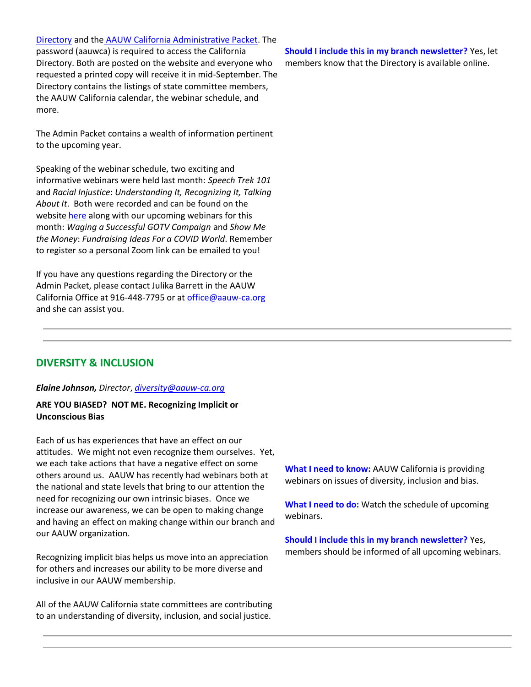## [Directory](https://bor.aauw-ca.org/sendy/l/892iUf2Z3Hxblitd0dEvE47A/ycGJAIk6cjIysk8pcRmgeA/JVJUQrorHZCidbre3J5EVQ) and the [AAUW California Administrative Packet.](https://bor.aauw-ca.org/sendy/l/892iUf2Z3Hxblitd0dEvE47A/QtfWP8ieOWQBlN7RS892F7Uw/JVJUQrorHZCidbre3J5EVQ) The

password (aauwca) is required to access the California Directory. Both are posted on the website and everyone who requested a printed copy will receive it in mid-September. The Directory contains the listings of state committee members, the AAUW California calendar, the webinar schedule, and more.

The Admin Packet contains a wealth of information pertinent to the upcoming year.

Speaking of the webinar schedule, two exciting and informative webinars were held last month: *Speech Trek 101* and *Racial Injustice*: *Understanding It, Recognizing It, Talking About It*. Both were recorded and can be found on the website [here](https://bor.aauw-ca.org/sendy/l/892iUf2Z3Hxblitd0dEvE47A/8Gvirx763Zn80vLSDXFY892ptA/JVJUQrorHZCidbre3J5EVQ) along with our upcoming webinars for this month: *Waging a Successful GOTV Campaign* and *Show Me the Money*: *Fundraising Ideas For a COVID World*. Remember to register so a personal Zoom link can be emailed to you!

If you have any questions regarding the Directory or the Admin Packet, please contact Julika Barrett in the AAUW California Office at 916-448-7795 or at [office@aauw-ca.org](mailto:office@aauw-ca.org) and she can assist you.

## **Should I include this in my branch newsletter?** Yes, let members know that the Directory is available online.

# **DIVERSITY & INCLUSION**

#### *Elaine Johnson, Director*, *[diversity@aauw-ca.org](mailto:diversity@aauw-ca.org)*

## **ARE YOU BIASED? NOT ME. Recognizing Implicit or Unconscious Bias**

Each of us has experiences that have an effect on our attitudes. We might not even recognize them ourselves. Yet, we each take actions that have a negative effect on some others around us. AAUW has recently had webinars both at the national and state levels that bring to our attention the need for recognizing our own intrinsic biases. Once we increase our awareness, we can be open to making change and having an effect on making change within our branch and our AAUW organization.

Recognizing implicit bias helps us move into an appreciation for others and increases our ability to be more diverse and inclusive in our AAUW membership.

All of the AAUW California state committees are contributing to an understanding of diversity, inclusion, and social justice.

**What I need to know:** AAUW California is providing webinars on issues of diversity, inclusion and bias.

**What I need to do:** Watch the schedule of upcoming webinars.

**Should I include this in my branch newsletter?** Yes, members should be informed of all upcoming webinars.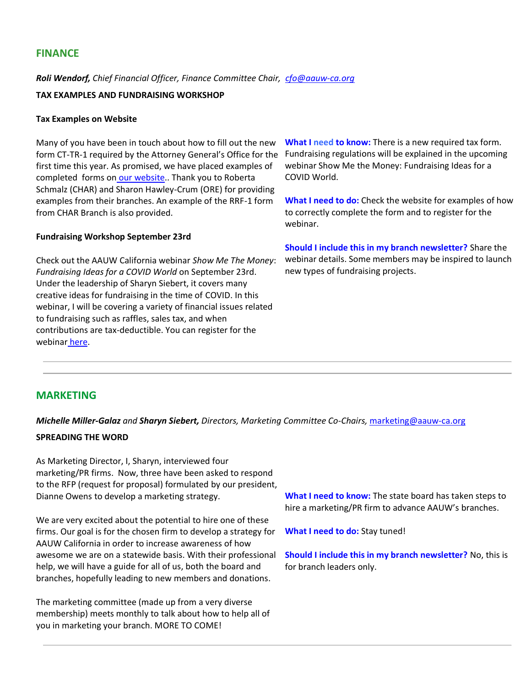# **FINANCE**

*Roli Wendorf, Chief Financial Officer, Finance Committee Chair, [cfo@aauw-ca.org](mailto:cfo@aauw-ca.org)*

## **TAX EXAMPLES AND FUNDRAISING WORKSHOP**

### **Tax Examples on Website**

Many of you have been in touch about how to fill out the new form CT-TR-1 required by the Attorney General's Office for the first time this year. As promised, we have placed examples of completed forms on [our website.](https://bor.aauw-ca.org/sendy/l/892iUf2Z3Hxblitd0dEvE47A/3CI4eArymL892763jVnxjQK763Cw/JVJUQrorHZCidbre3J5EVQ). Thank you to Roberta Schmalz (CHAR) and Sharon Hawley-Crum (ORE) for providing examples from their branches. An example of the RRF-1 form from CHAR Branch is also provided.

## **Fundraising Workshop September 23rd**

Check out the AAUW California webinar *Show Me The Money*: *Fundraising Ideas for a COVID World* on September 23rd. Under the leadership of Sharyn Siebert, it covers many creative ideas for fundraising in the time of COVID. In this webinar, I will be covering a variety of financial issues related to fundraising such as raffles, sales tax, and when contributions are tax-deductible. You can register for the webinar [here.](https://bor.aauw-ca.org/sendy/l/892iUf2Z3Hxblitd0dEvE47A/zXw5DPlNf2892UOhcfX14gkQ/JVJUQrorHZCidbre3J5EVQ)

**What I need to know:** There is a new required tax form. Fundraising regulations will be explained in the upcoming webinar Show Me the Money: Fundraising Ideas for a COVID World.

**What I need to do:** Check the website for examples of how to correctly complete the form and to register for the webinar.

**Should I include this in my branch newsletter?** Share the webinar details. Some members may be inspired to launch new types of fundraising projects.

# **MARKETING**

*Michelle Miller-Galaz and Sharyn Siebert, Directors, Marketing Committee Co-Chairs,* [marketing@aauw-ca.org](mailto:marketing@aauw-ca.org)

#### **SPREADING THE WORD**

As Marketing Director, I, Sharyn, interviewed four marketing/PR firms. Now, three have been asked to respond to the RFP (request for proposal) formulated by our president, Dianne Owens to develop a marketing strategy.

We are very excited about the potential to hire one of these firms. Our goal is for the chosen firm to develop a strategy for AAUW California in order to increase awareness of how awesome we are on a statewide basis. With their professional help, we will have a guide for all of us, both the board and branches, hopefully leading to new members and donations.

The marketing committee (made up from a very diverse membership) meets monthly to talk about how to help all of you in marketing your branch. MORE TO COME!

**What I need to know:** The state board has taken steps to hire a marketing/PR firm to advance AAUW's branches.

**What I need to do:** Stay tuned!

**Should I include this in my branch newsletter?** No, this is for branch leaders only.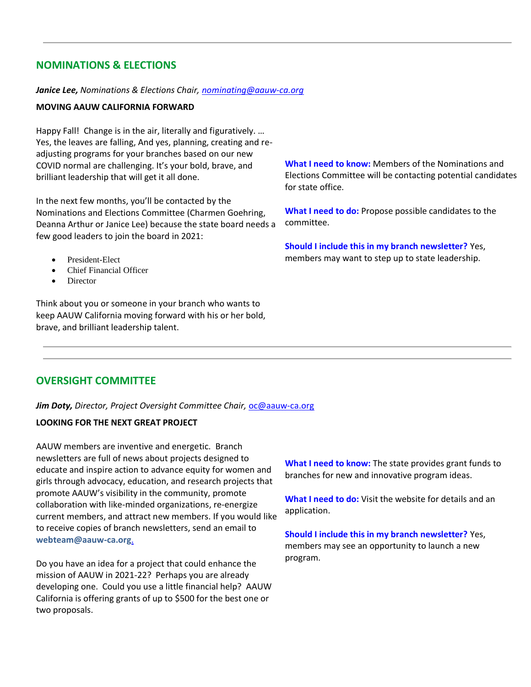# **NOMINATIONS & ELECTIONS**

#### *Janice Lee, Nominations & Elections Chair, [nominating@aauw-ca.org](mailto:nominating@aauw-ca.org)*

### **MOVING AAUW CALIFORNIA FORWARD**

Happy Fall! Change is in the air, literally and figuratively. … Yes, the leaves are falling, And yes, planning, creating and readjusting programs for your branches based on our new COVID normal are challenging. It's your bold, brave, and brilliant leadership that will get it all done.

In the next few months, you'll be contacted by the Nominations and Elections Committee (Charmen Goehring, Deanna Arthur or Janice Lee) because the state board needs a few good leaders to join the board in 2021:

- President-Elect
- Chief Financial Officer
- **Director**

Think about you or someone in your branch who wants to keep AAUW California moving forward with his or her bold, brave, and brilliant leadership talent.

**What I need to know:** Members of the Nominations and Elections Committee will be contacting potential candidates for state office.

**What I need to do:** Propose possible candidates to the committee.

**Should I include this in my branch newsletter?** Yes, members may want to step up to state leadership.

# **OVERSIGHT COMMITTEE**

*Jim Doty, Director, Project Oversight Committee Chair,* [oc@aauw-ca.org](mailto:oc@aauw-ca.org)

## **LOOKING FOR THE NEXT GREAT PROJECT**

AAUW members are inventive and energetic. Branch newsletters are full of news about projects designed to educate and inspire action to advance equity for women and girls through advocacy, education, and research projects that promote AAUW's visibility in the community, promote collaboration with like-minded organizations, re-energize current members, and attract new members. If you would like to receive copies of branch newsletters, send an email to **[webteam@aauw-ca.org](mailto:webteam@aauw-ca.org)**.

Do you have an idea for a project that could enhance the mission of AAUW in 2021-22? Perhaps you are already developing one. Could you use a little financial help? AAUW California is offering grants of up to \$500 for the best one or two proposals.

**What I need to know:** The state provides grant funds to branches for new and innovative program ideas.

**What I need to do:** Visit the website for details and an application.

**Should I include this in my branch newsletter?** Yes, members may see an opportunity to launch a new program.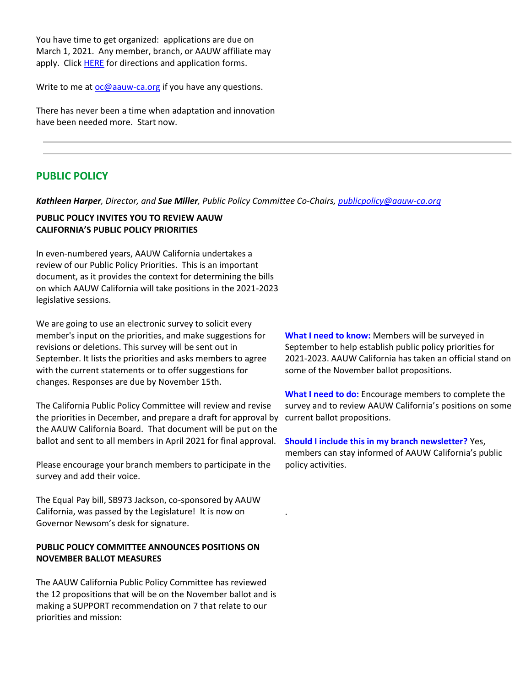You have time to get organized: applications are due on March 1, 2021. Any member, branch, or AAUW affiliate may apply. Clic[k HERE](https://bor.aauw-ca.org/sendy/l/892iUf2Z3Hxblitd0dEvE47A/Y8921cjc2i9ctErTVFYCxAiw/JVJUQrorHZCidbre3J5EVQ) for directions and application forms.

Write to me at [oc@aauw-ca.org](mailto:oc@aauw-ca.org) if you have any questions.

There has never been a time when adaptation and innovation have been needed more. Start now.

# **PUBLIC POLICY**

*Kathleen Harper, Director, and Sue Miller, Public Policy Committee Co-Chairs, [publicpolicy@aauw-ca.org](mailto:PublicPolicy@aauw-ca.org)*

.

### **PUBLIC POLICY INVITES YOU TO REVIEW AAUW CALIFORNIA'S PUBLIC POLICY PRIORITIES**

In even-numbered years, AAUW California undertakes a review of our Public Policy Priorities. This is an important document, as it provides the context for determining the bills on which AAUW California will take positions in the 2021-2023 legislative sessions.

We are going to use an electronic survey to solicit every member's input on the priorities, and make suggestions for revisions or deletions. This survey will be sent out in September. It lists the priorities and asks members to agree with the current statements or to offer suggestions for changes. Responses are due by November 15th.

The California Public Policy Committee will review and revise the priorities in December, and prepare a draft for approval by current ballot propositions. the AAUW California Board. That document will be put on the ballot and sent to all members in April 2021 for final approval.

Please encourage your branch members to participate in the survey and add their voice.

The Equal Pay bill, SB973 Jackson, co-sponsored by AAUW California, was passed by the Legislature! It is now on Governor Newsom's desk for signature.

## **PUBLIC POLICY COMMITTEE ANNOUNCES POSITIONS ON NOVEMBER BALLOT MEASURES**

The AAUW California Public Policy Committee has reviewed the 12 propositions that will be on the November ballot and is making a SUPPORT recommendation on 7 that relate to our priorities and mission:

**What I need to know:** Members will be surveyed in September to help establish public policy priorities for 2021-2023. AAUW California has taken an official stand on some of the November ballot propositions.

**What I need to do:** Encourage members to complete the survey and to review AAUW California's positions on some

**Should I include this in my branch newsletter?** Yes, members can stay informed of AAUW California's public policy activities.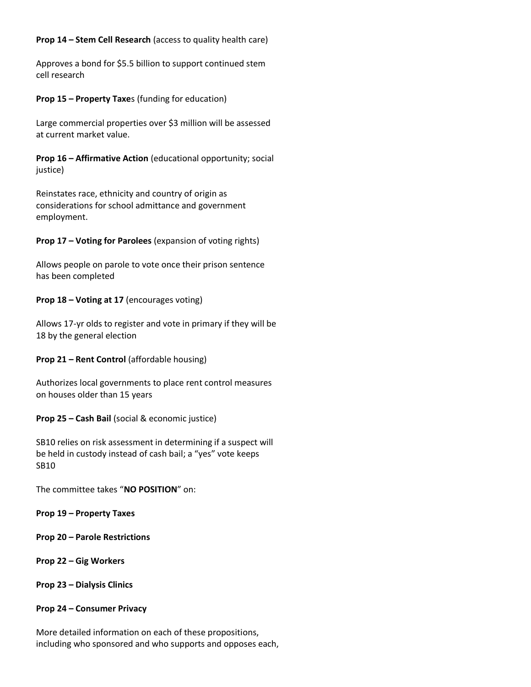## **Prop 14 – Stem Cell Research** (access to quality health care)

Approves a bond for \$5.5 billion to support continued stem cell research

#### **Prop 15 – Property Taxe**s (funding for education)

Large commercial properties over \$3 million will be assessed at current market value.

**Prop 16 – Affirmative Action** (educational opportunity; social justice)

Reinstates race, ethnicity and country of origin as considerations for school admittance and government employment.

**Prop 17 – Voting for Parolees** (expansion of voting rights)

Allows people on parole to vote once their prison sentence has been completed

#### **Prop 18 – Voting at 17** (encourages voting)

Allows 17-yr olds to register and vote in primary if they will be 18 by the general election

#### **Prop 21 – Rent Control** (affordable housing)

Authorizes local governments to place rent control measures on houses older than 15 years

**Prop 25 – Cash Bail** (social & economic justice)

SB10 relies on risk assessment in determining if a suspect will be held in custody instead of cash bail; a "yes" vote keeps SB10

The committee takes "**NO POSITION**" on:

**Prop 19 – Property Taxes**

**Prop 20 – Parole Restrictions**

**Prop 22 – Gig Workers**

**Prop 23 – Dialysis Clinics**

#### **Prop 24 – Consumer Privacy**

More detailed information on each of these propositions, including who sponsored and who supports and opposes each,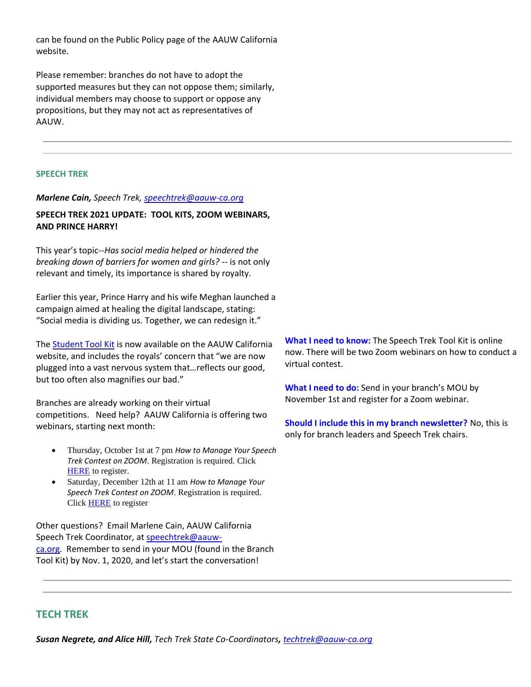can be found on the Public Policy page of the AAUW California website.

Please remember: branches do not have to adopt the supported measures but they can not oppose them; similarly, individual members may choose to support or oppose any propositions, but they may not act as representatives of AAUW.

## **SPEECH TREK**

#### *Marlene Cain, Speech Trek, [speechtrek@aauw-ca.org](mailto:speechtrek@aauw-ca.org)*

## **SPEECH TREK 2021 UPDATE: TOOL KITS, ZOOM WEBINARS, AND PRINCE HARRY!**

This year's topic--*Has social media helped or hindered the breaking down of barriers for women and girls?* -- is not only relevant and timely, its importance is shared by royalty.

Earlier this year, Prince Harry and his wife Meghan launched a campaign aimed at healing the digital landscape, stating: "Social media is dividing us. Together, we can redesign it."

Th[e Student Tool Kit](https://bor.aauw-ca.org/sendy/l/892iUf2Z3Hxblitd0dEvE47A/Ud0NQnX9OFuAlx2qyFTOsg/JVJUQrorHZCidbre3J5EVQ) is now available on the AAUW California website, and includes the royals' concern that "we are now plugged into a vast nervous system that…reflects our good, but too often also magnifies our bad."

Branches are already working on their virtual competitions. Need help? AAUW California is offering two webinars, starting next month:

- Thursday, October 1st at 7 pm *How to Manage Your Speech Trek Contest on ZOOM*. Registration is required. Click **[HERE](https://bor.aauw-ca.org/sendy/l/892iUf2Z3Hxblitd0dEvE47A/fIQWsGvRGMjogekgipC5xQ/JVJUQrorHZCidbre3J5EVQ)** to register.
- Saturday, December 12th at 11 am *How to Manage Your Speech Trek Contest on ZOOM*. Registration is required. Click **HERE** to register

Other questions? Email Marlene Cain, AAUW California Speech Trek Coordinator, at [speechtrek@aauw](mailto:speechtrek@aauw-ca.org)[ca.org.](mailto:speechtrek@aauw-ca.org) Remember to send in your MOU (found in the Branch Tool Kit) by Nov. 1, 2020, and let's start the conversation!

**What I need to know:** The Speech Trek Tool Kit is online now. There will be two Zoom webinars on how to conduct a virtual contest.

**What I need to do:** Send in your branch's MOU by November 1st and register for a Zoom webinar.

**Should I include this in my branch newsletter?** No, this is only for branch leaders and Speech Trek chairs.

## **TECH TREK**

*Susan Negrete, and Alice Hill, Tech Trek State Co-Coordinators, [techtrek@aauw-ca.org](mailto:techtrek@aauw-ca.org)*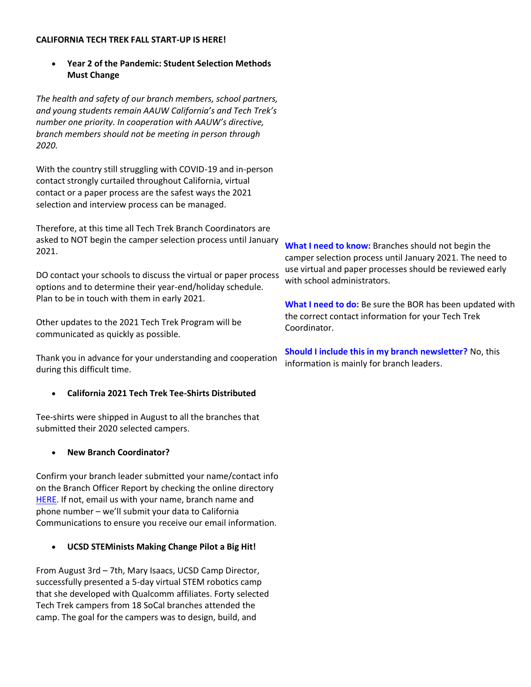#### **CALIFORNIA TECH TREK FALL START-UP IS HERE!**

• **Year 2 of the Pandemic: Student Selection Methods Must Change**

*The health and safety of our branch members, school partners, and young students remain AAUW California's and Tech Trek's number one priority. In cooperation with AAUW's directive, branch members should not be meeting in person through 2020.*

With the country still struggling with COVID-19 and in-person contact strongly curtailed throughout California, virtual contact or a paper process are the safest ways the 2021 selection and interview process can be managed.

Therefore, at this time all Tech Trek Branch Coordinators are asked to NOT begin the camper selection process until January 2021.

DO contact your schools to discuss the virtual or paper process options and to determine their year-end/holiday schedule. Plan to be in touch with them in early 2021.

Other updates to the 2021 Tech Trek Program will be communicated as quickly as possible.

Thank you in advance for your understanding and cooperation during this difficult time.

## • **California 2021 Tech Trek Tee-Shirts Distributed**

Tee-shirts were shipped in August to all the branches that submitted their 2020 selected campers.

## • **New Branch Coordinator?**

Confirm your branch leader submitted your name/contact info on the Branch Officer Report by checking the online directory [HERE.](https://bor.aauw-ca.org/sendy/l/892iUf2Z3Hxblitd0dEvE47A/ycGJAIk6cjIysk8pcRmgeA/JVJUQrorHZCidbre3J5EVQ) If not, email us with your name, branch name and phone number – we'll submit your data to California Communications to ensure you receive our email information.

## • **UCSD STEMinists Making Change Pilot a Big Hit!**

From August 3rd – 7th, Mary Isaacs, UCSD Camp Director, successfully presented a 5-day virtual STEM robotics camp that she developed with Qualcomm affiliates. Forty selected Tech Trek campers from 18 SoCal branches attended the camp. The goal for the campers was to design, build, and

**What I need to know:** Branches should not begin the camper selection process until January 2021. The need to use virtual and paper processes should be reviewed early with school administrators.

**What I need to do:** Be sure the BOR has been updated with the correct contact information for your Tech Trek Coordinator.

**Should I include this in my branch newsletter?** No, this information is mainly for branch leaders.